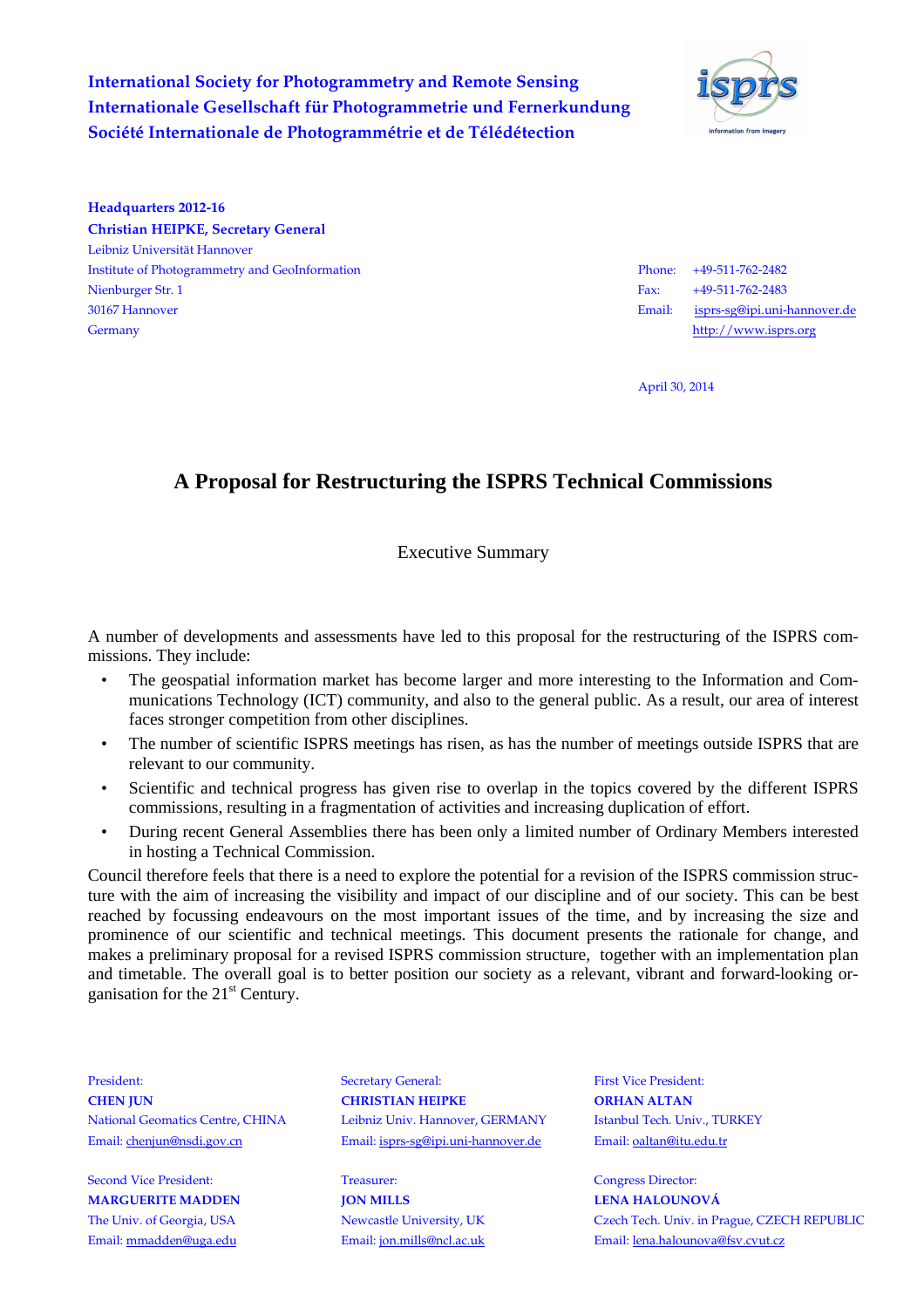

**Headquarters 2012-16 Christian HEIPKE, Secretary General** Leibniz Universität Hannover Institute of Photogrammetry and GeoInformation Nienburger Str. 1 30167 Hannover **Germany** 

**Phone:** Phone: The Contract of the Contract of the Phone: The Phone: The Phone: The Contract of the Contract of the Contract of the Contract of the Contract of the Contract of the Contract of the Contract of the Contract Fax: The contract of the contract of the state of the state of the state of the state of the state of the state of the state of the state of the state of the state of the state of the state of the state of the state of the Email: +49-511-762-2482 +49-511-762-2483 isprs-sg@ipi.uni-hannover.de http://www.isprs.org

April 30, 2014

## **A Proposal for Restructuring the ISPRS Technical Commissions**

Executive Summary

A number of developments and assessments have led to this proposal for the restructuring of the ISPRS commissions. They include:

- The geospatial information market has become larger and more interesting to the Information and Communications Technology (ICT) community, and also to the general public. As a result, our area of interest faces stronger competition from other disciplines.
- The number of scientific ISPRS meetings has risen, as has the number of meetings outside ISPRS that are relevant to our community.
- Scientific and technical progress has given rise to overlap in the topics covered by the different ISPRS commissions, resulting in a fragmentation of activities and increasing duplication of effort.
- During recent General Assemblies there has been only a limited number of Ordinary Members interested in hosting a Technical Commission. cs covered by the different ISPRS<br>uplication of effort.<br>er of Ordinary Members interested<br>on of the ISPRS commission struc-

in hosting a Technical Commission.<br>Council therefore feels that there is a need to explore the potential for a revision of the ture with the aim of increasing the visibility and impact of our discipline and of our society. This can be best reached by focussing endeavours on the most important issues of the time, and by increasing the size and prominence of our scientific and technical meetings. This document presents the rationale for change, and makes a preliminary proposal for a revised ISPRS commission structure, together with an implementation plan and timetable. The overall goal is to better position our society as a relevant, vibrant and forward forward-looking organisation for the  $21<sup>st</sup>$  Century.

President: **CHEN JUN** National Geomatics Centre, CHINA Email: chenjun@nsdi.gov.cn

Second Vice President: **MARGUERITE MADDEN** The Univ. of Georgia, USA Email: mmadden@uga.edu

Secretary General: First Vice President: **CHRISTIAN HEIPKE ORHAN ALTAN** Leibniz Univ. Hannover, GERMANY Istanbul Tech. Univ., TURKEY Email: isprs-sg@ipi.uni-hannover.de Email: oaltan@itu.edu.tr

Treasurer: Congress Director: **JON MILLS LENA HALOUNOVÁ** 

Newcastle University, UK Czech Tech. Univ. in Prague Prague, CZECH REPUBLIC Email: jon.mills@ncl.ac.uk Email: lena.halounova@fsv.cvut.cz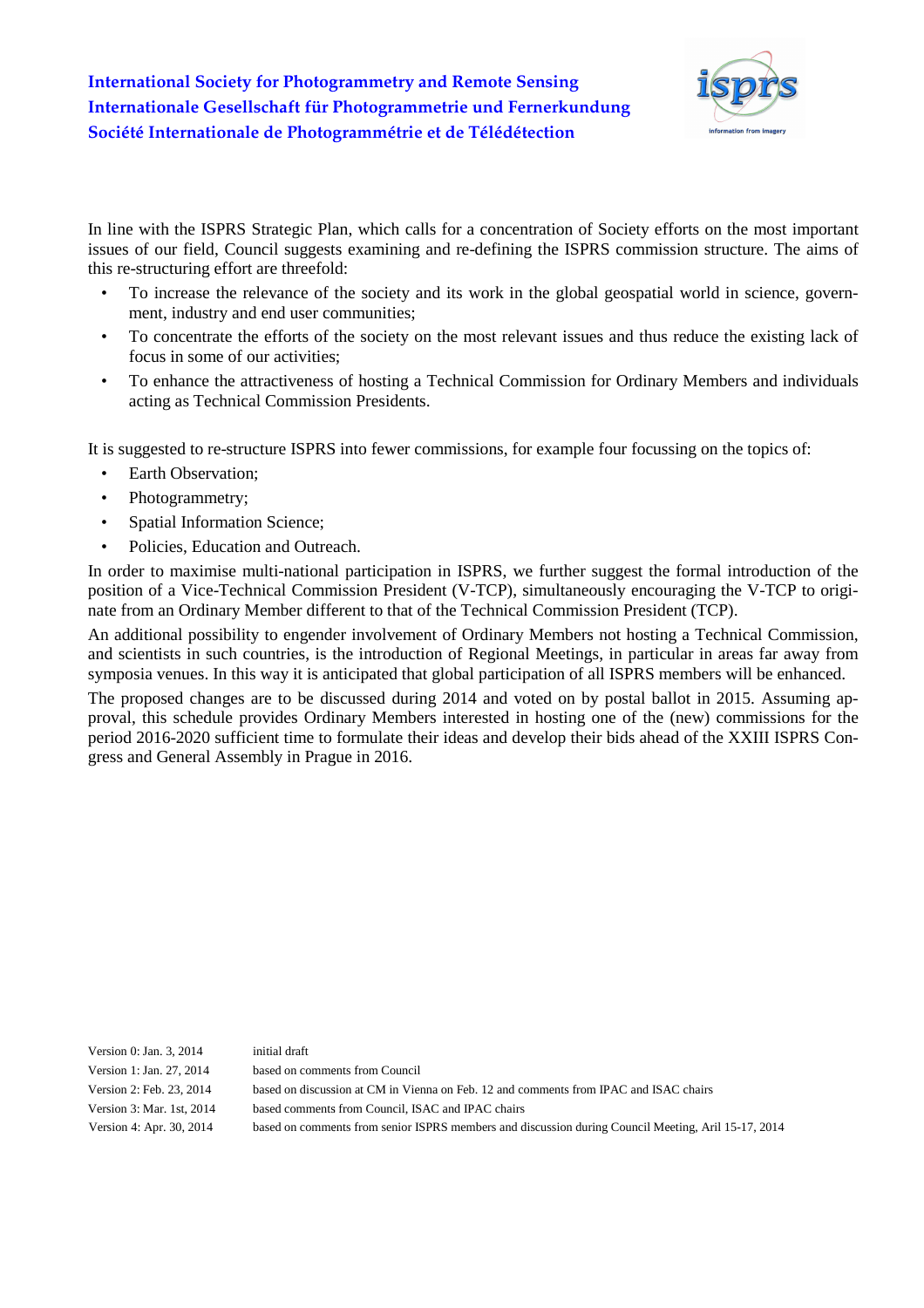

In line with the ISPRS Strategic Plan, which calls for a concentration of Society efforts on the most important issues of our field, Council suggests examining and re-defining the ISPRS commission structure. The aims of this re-structuring effort are threefold:

- To increase the relevance of the society and its work in the global geospatial world in science, gover ment, industry and end user communities; govern-
- To concentrate the efforts of the society on the most relevant issues and thus reduce the existing lack of focus in some of our activities e threefold:<br>vance of th<br>nd user con<br>fforts of th<br>activities;
- To enhance the attractiveness of hosting a Technical Commission for Ordinary Members and individuals acting as Technical Commission Presidents Presidents.

It is suggested to re-structure ISPRS into fewer commissions, for example four focussing on the topics of:

- Earth Observation:
- Photogrammetry;
- Spatial Information Science:
- Policies, Education and Outreach Outreach.

It is suggested to re-structure ISPRS into fewer commissions, for example four focussing on the topics of:<br>
• Earth Observation;<br>
• Photogrammetry;<br>
• Spatial Information Science;<br>
• Policies, Education and Outreach.<br>
In o position of a Vice-Technical Commission President (V-TCP), simultaneously encouraging the V-TCP to originate from an Ordinary Member different to that of the Technical Commission President (TCP).

An additional possibility to engender involvement of Ordinary Members not hosting a Technical Commission, and scientists in such countries, is the introduction of Regional Meetings, in particular in areas far away from symposia venues. In this way it is anticipated that global participation of all ISPRS members will be enhanced.

The proposed changes are to be discussed during 2014 and voted on by postal ballot in 2015. Assuming approval, this schedule provides Ordinary Members interested in hosting one of the (new) commissions for the period 2016-2020 sufficient time to formulate their ideas and develop their bids ahead of the XXIII ISPRS Congress and General Assembly in Prague in 2016.

Version 0: Jan. 3, 2014 initial draft

Version 1: Jan. 27, 2014 based on comments from Council

Version 2: Feb. 23, 2014 based on discussion at CM in Vienna on Feb. 12 and comments from IPAC and ISAC chairs

Version 3: Mar. 1st, 2014 based comments from Council, I ISAC and IPAC chairs

Version 4: Apr. 30, 2014 based on comments from senior ISPRS members and discussion during Council Meeting, Aril 15 15-17, 2014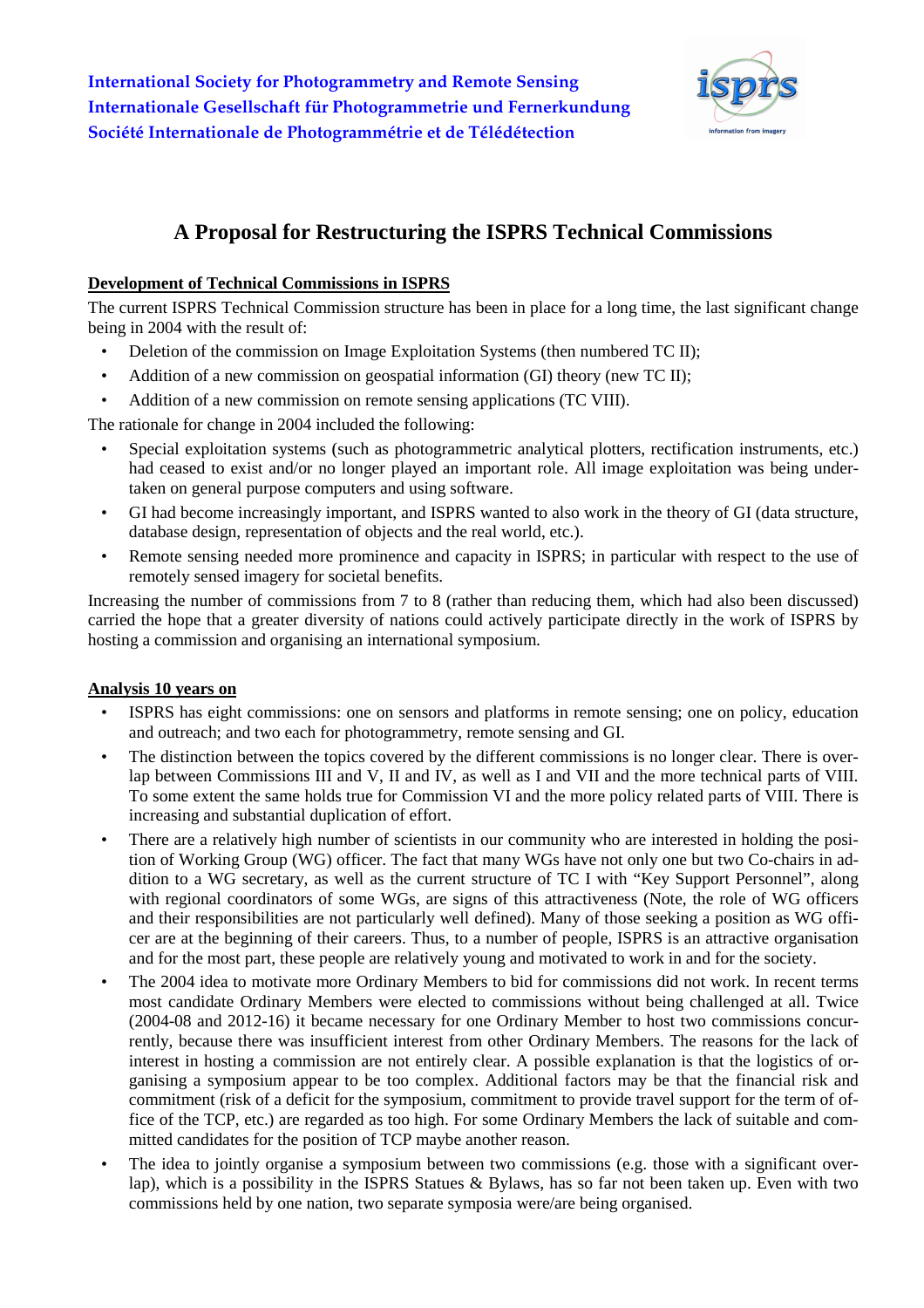

# **A Proposal for Restructuring the ISPRS Technical Commissions**

## **Development of Technical Commissions in ISPRS**

The current ISPRS Technical Commission structure has been in place for a long time, the last significant change being in 2004 with the result of:

- Deletion of the commission on Image Exploitation Systems (then numbered TC II);
- Addition of a new commission on geospatial information (GI) theory (new TC II);
- Addition of a new commission on remote sensing applications (TC VIII).

The rationale for change in 2004 included the following:

- Special exploitation systems (such as photogrammetric analytical plotters, rectification instruments, etc.) had ceased to exist and/or no longer played an important role. All image exploitation was being undertaken on general purpose computers and using software.
- GI had become increasingly important, and ISPRS wanted to also work in the theory of GI (data structure, database design, representation of objects and the real world, etc.).
- Remote sensing needed more prominence and capacity in ISPRS; in particular with respect to the use of remotely sensed imagery for societal benefits benefits.

Increasing the number of commissions from 7 to 8 (rather than reducing them, which had also been discussed) carried the hope that a greater diversity of nations could actively participate directly in the work of ISPRS by hosting a commission and organising an international symposium.

## **Analysis 10 years on**

- ISPRS has eight commissions: one on sensors and platforms in remote sensing; one on policy, education and outreach; and two each for photogrammetry, remote sensing and GI.
- The distinction between the topics covered by the different commissions is no longer clear. There is overlap between Commissions III and V, II and IV, as well as I and VII and the more technical parts of VIII. To some extent the same holds true for Commission VI and the more policy related parts of VIII. There is increasing and substantial duplication of effort.
- There are a relatively high number of scientists in our community who are interested in holding the position of Working Group (WG) officer. The fact that many WGs have not only one but two Co-chairs in addition to a WG secretary, as well as the current structure of TC I with "Key Support Personnel", along with regional coordinators of some WGs, are signs of this attractiveness (Note, the role of WG officers and their responsibilities are not particularly well defined). Many of those seeking a position as WG officer are at the beginning of their careers. Thus, to a number of people, ISPRS is an attractive organisation and for the most part, these people are relatively young and motivated to work in and for the society.
- The 2004 idea to motivate more Ordinary Members to bid for commissions did not work. In recent terms most candidate Ordinary Members were elected to commissions without being challenged at all. Twice (2004-08 and 2012-16) it became necessary for one Ordinary Member to host two commissions concurrently, because there was insufficient interest from other Ordinary Members. The reasons for the lack of interest in hosting a commission are not entirely clear. A possible explanation is that the logistics of organising a symposium appear to be too complex. Additional factors may be that the financial risk and commitment (risk of a deficit for the symposium, commitment to provide travel support for the term of office of the TCP, etc.) are regarded as too high. For some Ordinary Members the lack of suitable and committed candidates for the position of TCP maybe another reason.
- The idea to jointly organise a symposium between two commissions (e.g. those with a significant overlap), which is a possibility in the ISPRS Statues & Bylaws, has so far not been taken up. Even with two commissions held by one nation, two separate symposia were/are being organised.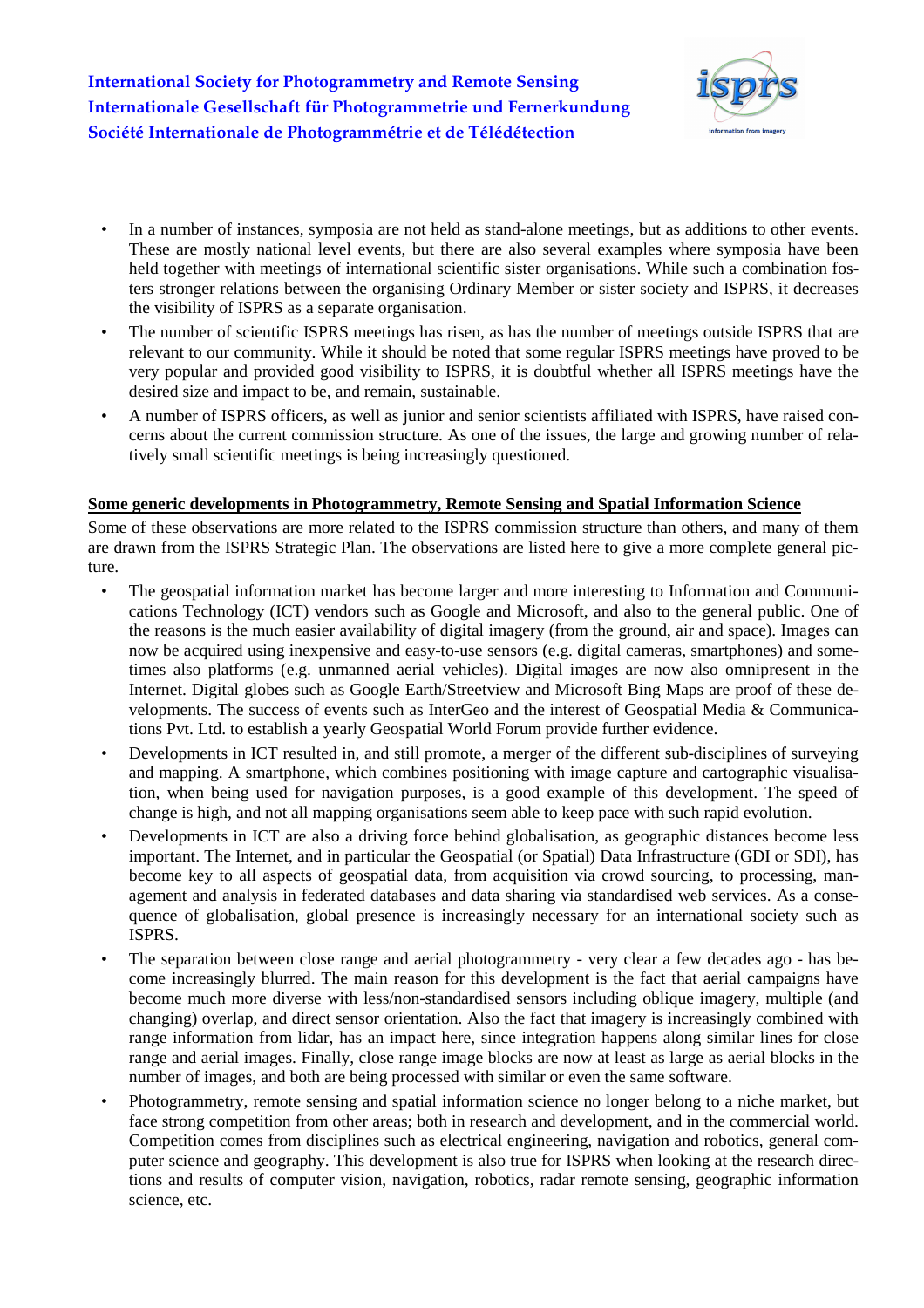

- In a number of instances, symposia are not held as stand-alone meetings, but as additions to other events. These are mostly national level events, but there are also several examples where symposia have been held together with meetings of international scientific sister organisations. While such a combination fosters stronger relations between the organising Ordinary Member or sister society and ISPRS, it decreases the visibility of ISPRS as a separate organisation.
- The number of scientific ISPRS meetings has risen, as has the number of meetings outside ISPRS that are relevant to our community. While it should be noted that some regular ISPRS meetings have proved to be very popular and provided good visibility to ISPRS, it is doubtful whether all ISPRS meetings have the desired size and impact to be, and remain, sustainable.
- A number of ISPRS officers, as well as junior and senior scientists affiliated with ISPRS, have raised concerns about the current commission structure. As one of the issues, the large and growing number of relatively small scientific meetings is being increasingly questioned.

#### **Some generic developments in Photogrammetry, hotogrammetry, Remote Sensing and Spatial Information nformation Science**

Some of these observations are more related to the ISPRS commission structure than others, and many of them are drawn from the ISPRS Strategic Plan. The observations are listed here to give a more complete general picture.

- The geospatial information market has become larger and more interesting to Information and Communications Technology (ICT) vendors such as Google and Microsoft, and also to the general public. One of the reasons is the much easier availability of digital imagery (from the ground, air and space). Images can now be acquired using inexpensive and easy-to-use sensors (e.g. digital cameras, smartphones) and sometimes also platforms (e.g. unmanned aerial vehicles). Digital images are now also omnipresent in the Internet. Digital globes such as Google Earth/Streetview and Microsoft Bing Maps are proof of these developments. The success of events such as InterGeo and the interest of Geospatial Media & Communications Pvt. Ltd. to establish a yearly Geospatial World Forum provide further evidence.
- Developments in ICT resulted in, and still promote, a merger of the different sub-disciplines of surveying and mapping. A smartphone, which combines positioning with image capture and cartographic visualisation, when being used for navigation purposes, is a good example of this development. The speed of change is high, and not all mapping organisations seem able to keep pace with such rapid evolution.
- Developments in ICT are also a driving force behind globalisation, as geographic distances become less important. The Internet, and in particular the Geospatial (or Spatial) Data Infrastructure (GDI or SDI), has become key to all aspects of geospatial data, from acquisition via crowd sourcing, to processing, management and analysis in federated databases and data sharing via standardised web services. As a consequence of globalisation, global presence is increasingly necessary for an international society such as ISPRS.
- The separation between close range and aerial photogrammetry very clear a few decades ago has become increasingly blurred. The main reason for this development is the fact that aerial campaigns have become much more diverse with less/non-standardised sensors including oblique imagery, multiple (and changing) overlap, and direct sensor orientation. Also the fact that imagery is increasingly combined with range information from lidar, has an impact here, since integration happens along similar lines for close range information from lidar, has an impact here, since integration happens along similar lines for close range and aerial images. Finally, close range image blocks are now at least as large as aerial blocks in the number of images, and both are being processed with similar or even the same software.
- Photogrammetry, remote sensing and spatial information science no longer belong to a niche market, but face strong competition from other areas; both in research and development, and in the commercial world. Competition comes from disciplines such as electrical engineering, navigation and robotics, general computer science and geography. This development is also true for ISPRS when looking at the research directions and results of computer vision, navigation, robotics, radar remote sensing, geographic information science, etc.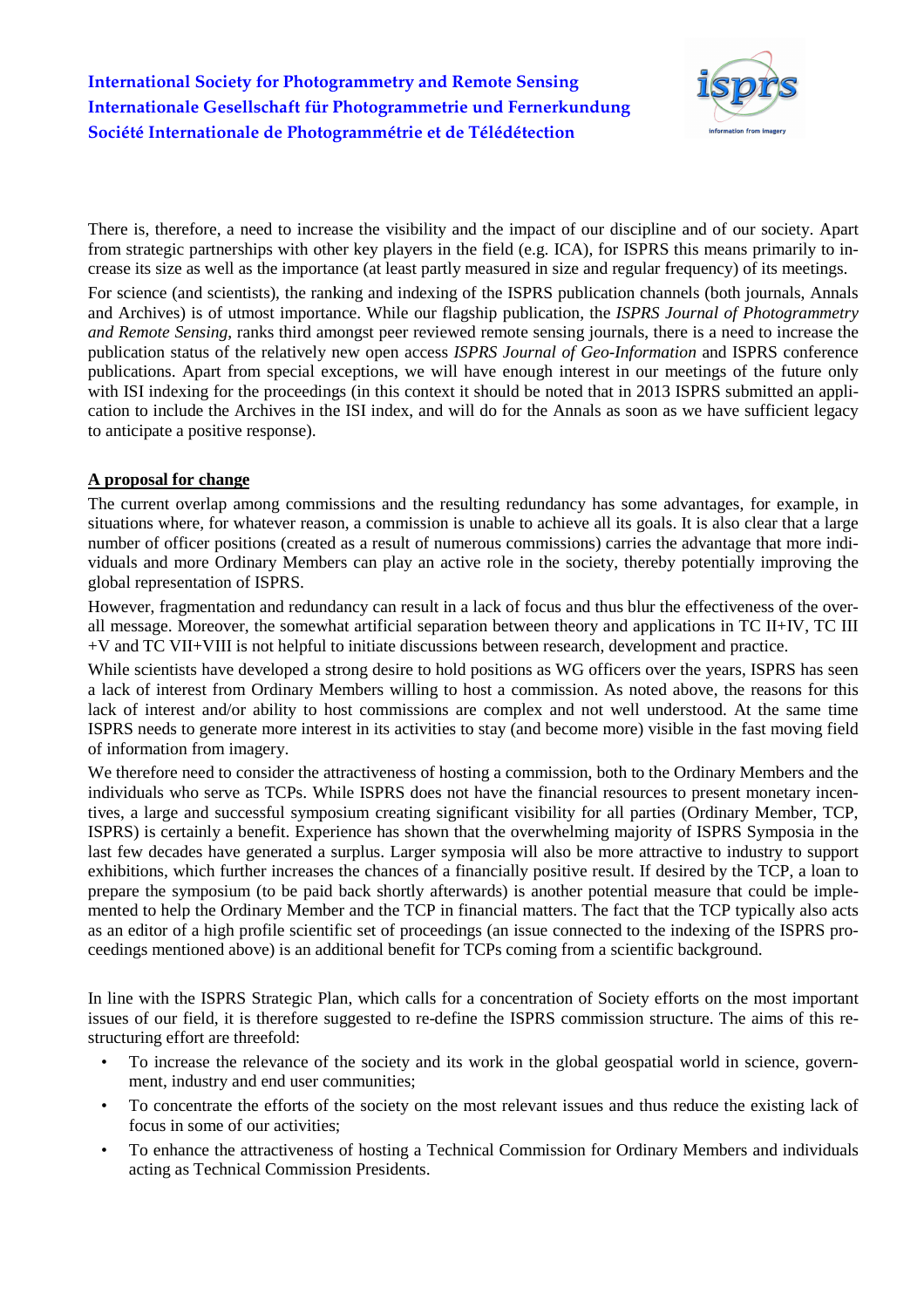

There is, therefore, a need to increase the visibility and the impact of our discipline and of our society. Apart from strategic partnerships with other key players in the field (e.g. ICA), for ISPRS this means primarily to increase its size as well as the importance (at least partly measured in size and regular frequency) of its meetings.

For science (and scientists), the ranking and indexing of the ISPRS publication channels (both journals, Annals and Archives) is of utmost importance. While our flagship publication, the *ISPRS Journal of Photogrammetry and Remote Sensing*, ranks third amongst peer reviewed remote sensing journals, there is a need to increase the publication status of the relatively new open access *ISPRS Journal of Geo-Information Information* and ISPRS conference publications. Apart from special exceptions, we will have enough interest in our meetings of the future only with ISI indexing for the proceedings (in this context it should be noted that in 2013 ISPRS submitted an application to include the Archives in the ISI index, and will do for the Annals as soon as we have sufficient legacy to anticipate a positive response).

#### **A proposal for change**

The current overlap among commissions and the resulting redundancy has some advantages, for example, in situations where, for whatever reason, a commission is unable to achieve all its goals. It is also clear that a large number of officer positions (created as a result of numerous commissions) carries the advantage that more individuals and more Ordinary Members can play an active role in the society, thereby potentially improving the global representation of ISPRS.

However, fragmentation and redundancy can result in a lack of focus and thus blur the effectiveness of the overall message. Moreover, the somewhat artificial separation between theory and applications in TC II+IV, TC III<br>+V and TC VII+VIII is not helpful to initiate discussions between research, development and practice. +V and TC VII+VIII is not helpful to initiate discussions between research, devel

+V and TC VII+VIII is not helpful to initiate discussions between research, development and practice.<br>While scientists have developed a strong desire to hold positions as WG officers over the years, ISPRS has seen a lack of interest from Ordinary Members willing to host a commission. As noted above, the reasons for this lack of interest and/or ability to host commissions are complex and not well understood. At the same time ISPRS needs to generate more interest in its activities to stay (and become more) visible in the fast moving field of information from imagery.

We therefore need to consider the attractiveness of hosting a commission, both to the Ordinary Members and the individuals who serve as TCPs. While ISPRS does not have the financial resources to present monetary incentives, a large and successful symposium creating significant visibility for all parties ( (Ordinary Member, TCP, ISPRS) is certainly a benefit. Experience has shown that the overwhelming majority of ISPRS Symposia in the last few decades have generated a surplus. Larger symposia will also be more attractive to industry to support exhibitions, which further increases the chances of a financially positive result. If desired by the TCP, a loan to prepare the symposium (to be paid back shortly afterwards) is another potential measure that could be implemented to help the Ordinary Member and the TCP in financial matters. The fact that the TCP typically also acts as an editor of a high profile scientific set of proceedings (an issue connected to the indexing of the ISPRS proceedings mentioned above) is an additional benefit for TCPs coming from a scientific background.

In line with the ISPRS Strategic Plan, which calls for a concentration of Society efforts on the most important issues of our field, it is therefore suggested to re-define the ISPRS commission structure. The aims of this restructuring effort are threefold:

- To increase the relevance of the society and its work in the global geospatial world in science, government, industry and end user communities;
- To concentrate the efforts of the society on the most relevant issues and thus reduce the existing lack of focus in some of our activities;
- To enhance the attractiveness of hosting a Technical Commission for Ordinary Members and individuals acting as Technical Commission Presidents Presidents.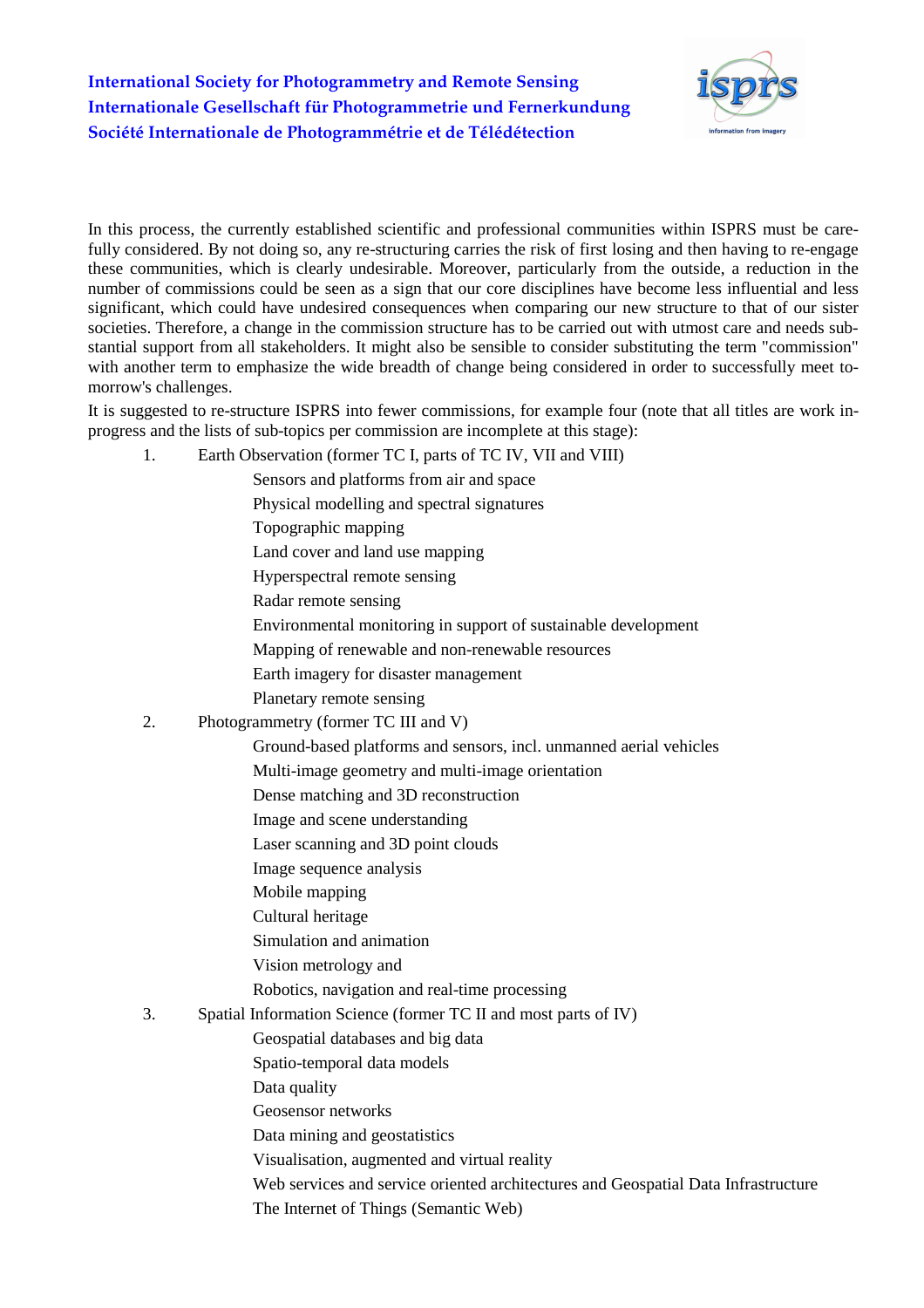

In this process, the currently established scientific and professional communities within ISPRS must be carefully considered. By not doing so, any re-structuring carries the risk of first losing and then having to re-engage these communities, which is clearly undesirable. Moreover, particularly from the outside, a reduction in the number of commissions could be seen as a sign that our core disciplines have become less influential and less significant, which could have undesired consequences when comparing our new structure to that of our sister societies. Therefore, a change in the commission structure has to be carried out with utmost care and needs substantial support from all stakeholders. It might also be sensible to consider substituting the term "commission" with another term to emphasize the wide breadth of change being considered in order to successfully meet tomorrow's challenges.

It is suggested to re-structure ISPRS into fewer commissions, for example four (note that all titles are work inprogress and the lists of sub-topics per commission are incomplete at this stage):

1. Earth Observation (former TC I, parts of TC IV, VII and VIII)

Sensors and platforms from air and space

- Physical modelling and spectral signatures
- Topographic mapping
- Land cover and land use mapping
- Hyperspectral remote sensing
	- Radar remote sensing
- Environmental monitoring in support of sustainable development
- Mapping of renewable and non-renewable resources
	- Earth imagery for disaster management
	- Planetary remote sensing

## 2. Photogrammetry (former TC III and V)

- Ground-based platforms and sensors, incl. unmanned aerial vehicles
- Multi-image geometry and multi-image orientation
	- Dense matching and 3D reconstruction
	- Image and scene understanding
- Laser scanning and 3D point clouds
- Image sequence analysis
	- Mobile mapping
	- Cultural heritage
- Simulation and a animation
	- Vision metrology and
- Robotics, navigation and real-time processing
	- 3. Spatial Information Science (former TC II and most parts of IV)
		- Geospatial databases and big data
		- Spatio-temporal data models
		- Data quality
		- Geosensor networks
		- Data mining and geostatistics
		- Visualisation, augmented and virtual reality
- Spatio-temporal data models<br>
Data quality<br>
Geosensor networks<br>
Data mining and geostatistics<br>
Visualisation, augmented and virtual reality<br>
Web services and service oriented architectures and Geospatial Data Infrastructure
	- The Internet of Things (Semantic Web)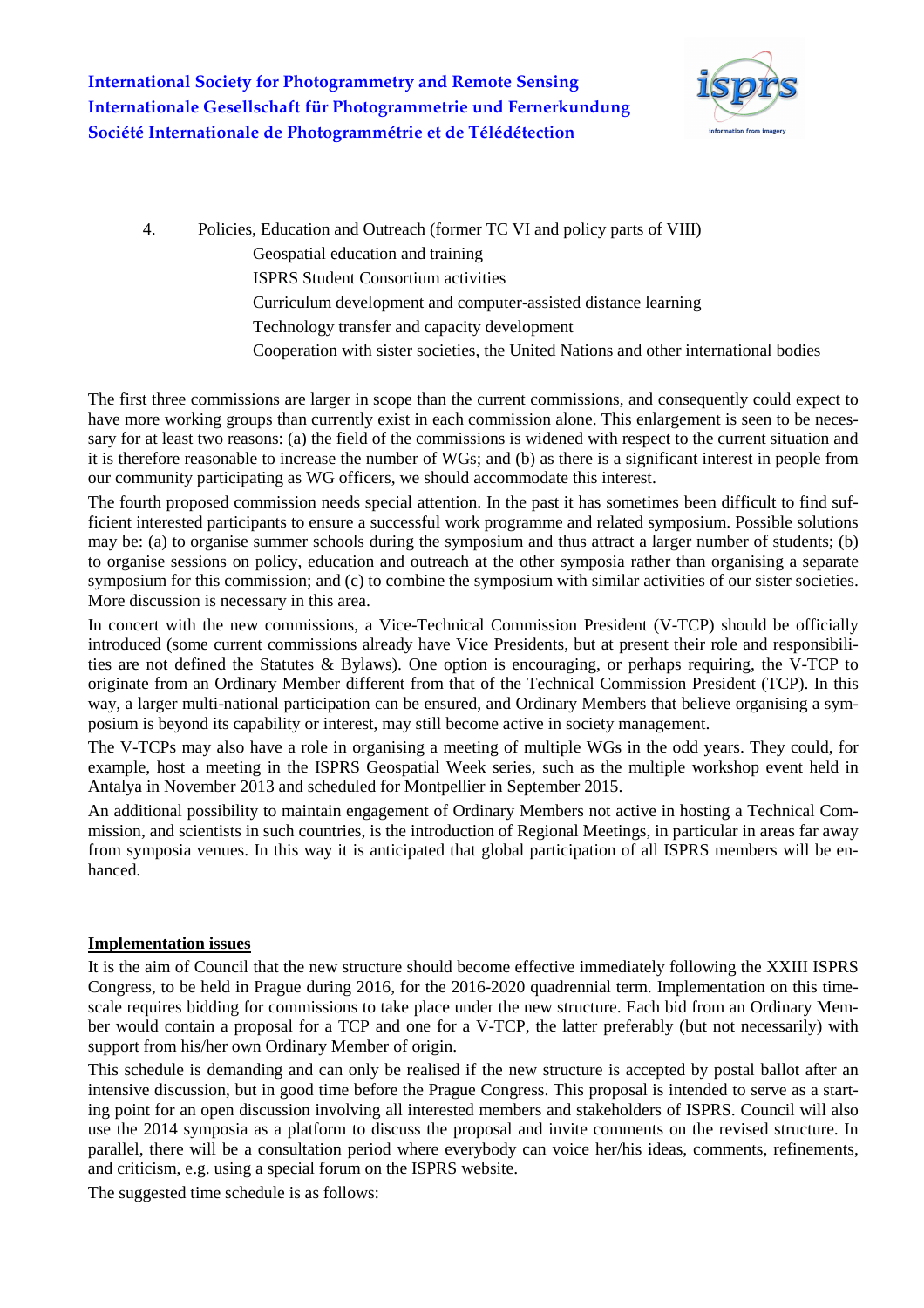

 4. Policies, Education and Outreach (former TC VI and policy parts of VIII) Geospatial education and training ISPRS Student Consortium activities Curriculum development and computer-assisted distance learning Technology transfer and capacity development Cooperation with sister societies, the United Nations and other international bodies Curriculum development and computer-assisted distance learning<br>
Technology transfer and capacity development<br>
Cooperation with sister societies, the United Nations and other international bodies<br>
The first three commission

The first three commissions are larger in scope than the current commissions, and consequently could expect to sary for at least two reasons: (a) the field of the commissions is widened with respect to the current situation and it is therefore reasonable to increase the number of WGs; and (b) as there is a significant interest in people from our community participating as WG officers, we should accommodate this interest.

The fourth proposed commission needs special attention. In the past it has sometimes been difficult to find sufficient interested participants to ensure a successful work programme and related symposium. Possible solutions may be: (a) to organise summer schools during the symposium and thus attract a larger number of students; (b) to organise sessions on policy, education and outreach at the other symposia rather than organising a separate symposium for this commission; and (c) to combine the symposium with similar activities of our sister societies. More discussion is necessary in this area. symposium for this commission; and (c) to combine the symposium with similar activities of our sister societies.<br>More discussion is necessary in this area.<br>In concert with the new commissions, a Vice-Technical Commission P

introduced (some current commissions already have Vice Presidents, but at present their role and responsibilities are not defined the Statutes & Bylaws). One option is encouraging, or perhaps requiring, the V-TCP to originate from an Ordinary Member different from that of the Technical Commission President (TCP). In this way, a larger multi-national participation can be ensured, and Ordinary Members that believe organising a symposium is beyond its capability or interest, may still become active in society management.

The V-TCPs may also have a role in organising a meeting of multiple WGs in the odd years. They could, for example, host a meeting in the ISPRS Geospatial Week series, such as the multiple workshop event held in Antalya in November 2013 and scheduled for Montpellier in September 2015.

An additional possibility to maintain engagement of Ordinary Members not active in hosting a Technical Commission, and scientists in such countries, is the introduction of Regional Meetings, in particular in areas far away from symposia venues. In this way it is anticipated that global participation of all ISPRS members will be enhanced.

## **Implementation issues**

It is the aim of Council that the new structure should become effective immediately following the XXIII ISPRS Congress, to be held in Prague during 2016, for the 2016-2020 quadrennial term. Implementation on this timescale requires bidding for commissions to take place under the new structure. Each bid from an Ordinary Member would contain a proposal for a TCP and one for a V-TCP, the latter preferably (but not necessarily) with support from his/her own Ordinary Member of origin. ber would contain a proposal for a TCP and one for a V-TCP, the latter preferably (but not necessarily) with<br>support from his/her own Ordinary Member of origin.<br>This schedule is demanding and can only be realised if the ne

intensive discussion, but in good time before the Prague Congress. This proposal is intended to serve as a starting point for an open discussion involving all interested members and stakeholders of ISPRS. Council will also use the 2014 symposia as a platform to discuss the proposal and invite comments on the revised structure. In parallel, there will be a consultation period where everybody can voice her/his ideas, comments, refinements, and criticism, e.g. using a special forum on the ISPRS website.

The suggested time schedule is as follows: